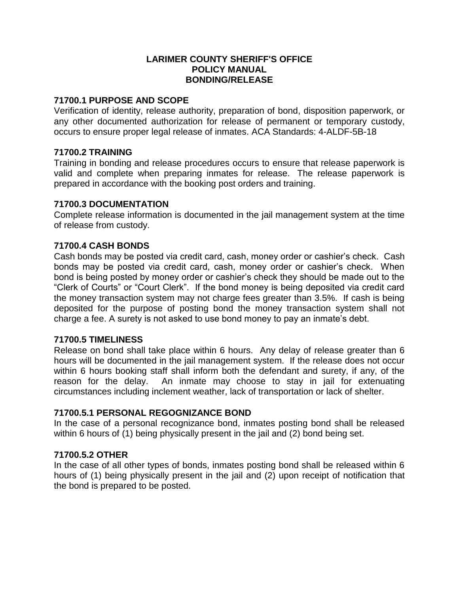#### **LARIMER COUNTY SHERIFF'S OFFICE POLICY MANUAL BONDING/RELEASE**

## **71700.1 PURPOSE AND SCOPE**

Verification of identity, release authority, preparation of bond, disposition paperwork, or any other documented authorization for release of permanent or temporary custody, occurs to ensure proper legal release of inmates. ACA Standards: 4-ALDF-5B-18

#### **71700.2 TRAINING**

Training in bonding and release procedures occurs to ensure that release paperwork is valid and complete when preparing inmates for release. The release paperwork is prepared in accordance with the booking post orders and training.

#### **71700.3 DOCUMENTATION**

Complete release information is documented in the jail management system at the time of release from custody.

# **71700.4 CASH BONDS**

Cash bonds may be posted via credit card, cash, money order or cashier's check. Cash bonds may be posted via credit card, cash, money order or cashier's check. When bond is being posted by money order or cashier's check they should be made out to the "Clerk of Courts" or "Court Clerk". If the bond money is being deposited via credit card the money transaction system may not charge fees greater than 3.5%. If cash is being deposited for the purpose of posting bond the money transaction system shall not charge a fee. A surety is not asked to use bond money to pay an inmate's debt.

#### **71700.5 TIMELINESS**

Release on bond shall take place within 6 hours. Any delay of release greater than 6 hours will be documented in the jail management system. If the release does not occur within 6 hours booking staff shall inform both the defendant and surety, if any, of the reason for the delay. An inmate may choose to stay in jail for extenuating circumstances including inclement weather, lack of transportation or lack of shelter.

#### **71700.5.1 PERSONAL REGOGNIZANCE BOND**

In the case of a personal recognizance bond, inmates posting bond shall be released within 6 hours of (1) being physically present in the jail and (2) bond being set.

#### **71700.5.2 OTHER**

In the case of all other types of bonds, inmates posting bond shall be released within 6 hours of (1) being physically present in the jail and (2) upon receipt of notification that the bond is prepared to be posted.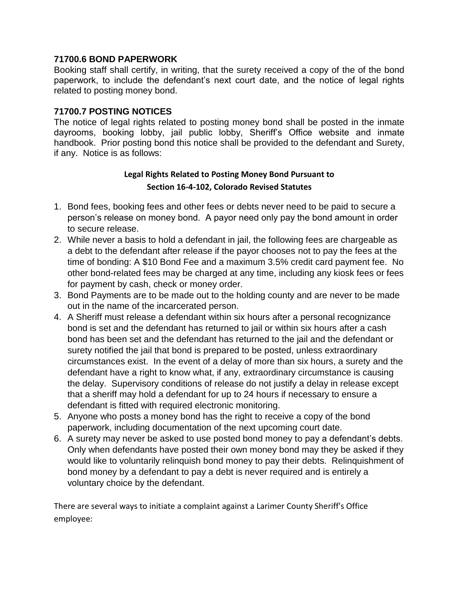## **71700.6 BOND PAPERWORK**

Booking staff shall certify, in writing, that the surety received a copy of the of the bond paperwork, to include the defendant's next court date, and the notice of legal rights related to posting money bond.

# **71700.7 POSTING NOTICES**

The notice of legal rights related to posting money bond shall be posted in the inmate dayrooms, booking lobby, jail public lobby, Sheriff's Office website and inmate handbook. Prior posting bond this notice shall be provided to the defendant and Surety, if any. Notice is as follows:

# **Legal Rights Related to Posting Money Bond Pursuant to Section 16-4-102, Colorado Revised Statutes**

- 1. Bond fees, booking fees and other fees or debts never need to be paid to secure a person's release on money bond. A payor need only pay the bond amount in order to secure release.
- 2. While never a basis to hold a defendant in jail, the following fees are chargeable as a debt to the defendant after release if the payor chooses not to pay the fees at the time of bonding: A \$10 Bond Fee and a maximum 3.5% credit card payment fee. No other bond-related fees may be charged at any time, including any kiosk fees or fees for payment by cash, check or money order.
- 3. Bond Payments are to be made out to the holding county and are never to be made out in the name of the incarcerated person.
- 4. A Sheriff must release a defendant within six hours after a personal recognizance bond is set and the defendant has returned to jail or within six hours after a cash bond has been set and the defendant has returned to the jail and the defendant or surety notified the jail that bond is prepared to be posted, unless extraordinary circumstances exist. In the event of a delay of more than six hours, a surety and the defendant have a right to know what, if any, extraordinary circumstance is causing the delay. Supervisory conditions of release do not justify a delay in release except that a sheriff may hold a defendant for up to 24 hours if necessary to ensure a defendant is fitted with required electronic monitoring.
- 5. Anyone who posts a money bond has the right to receive a copy of the bond paperwork, including documentation of the next upcoming court date.
- 6. A surety may never be asked to use posted bond money to pay a defendant's debts. Only when defendants have posted their own money bond may they be asked if they would like to voluntarily relinquish bond money to pay their debts. Relinquishment of bond money by a defendant to pay a debt is never required and is entirely a voluntary choice by the defendant.

There are several ways to initiate a complaint against a Larimer County Sheriff's Office employee: